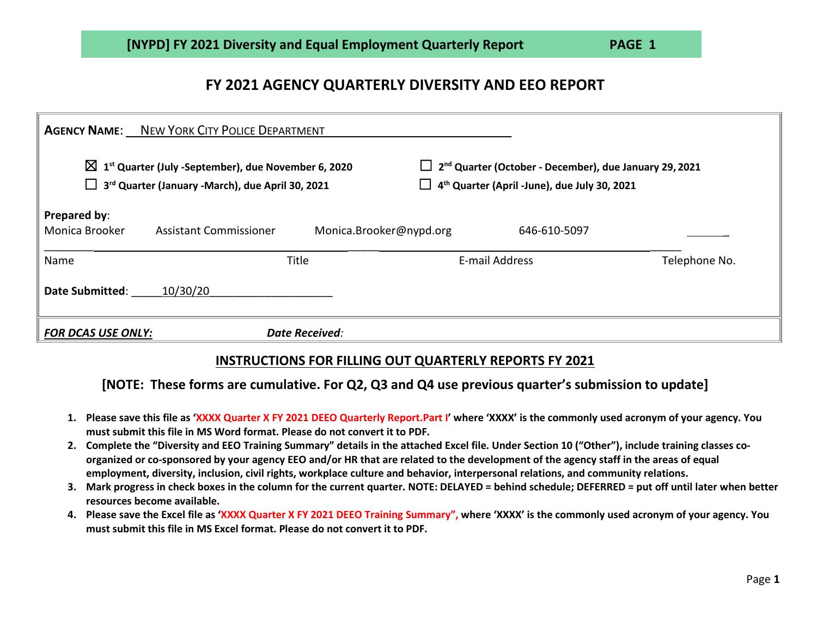## **FY 2021 AGENCY QUARTERLY DIVERSITY AND EEO REPORT**

|                                                                                                                                           | <b>AGENCY NAME:</b> NEW YORK CITY POLICE DEPARTMENT |                                                                                                                                       |                |               |
|-------------------------------------------------------------------------------------------------------------------------------------------|-----------------------------------------------------|---------------------------------------------------------------------------------------------------------------------------------------|----------------|---------------|
| $\boxtimes$ 1 <sup>st</sup> Quarter (July -September), due November 6, 2020<br>$\Box$<br>3rd Quarter (January -March), due April 30, 2021 |                                                     | 2 <sup>nd</sup> Quarter (October - December), due January 29, 2021<br>$\Box$ 4 <sup>th</sup> Quarter (April -June), due July 30, 2021 |                |               |
| <b>Prepared by:</b><br>Monica Brooker                                                                                                     | Assistant Commissioner                              | Monica.Brooker@nypd.org                                                                                                               | 646-610-5097   |               |
| Name                                                                                                                                      |                                                     | Title                                                                                                                                 | E-mail Address | Telephone No. |
| <b>Date Submitted:</b>                                                                                                                    | 10/30/20                                            |                                                                                                                                       |                |               |
| <b>FOR DCAS USE ONLY:</b>                                                                                                                 |                                                     | <b>Date Received:</b>                                                                                                                 |                |               |

## **INSTRUCTIONS FOR FILLING OUT QUARTERLY REPORTS FY 2021**

## **[NOTE: These forms are cumulative. For Q2, Q3 and Q4 use previous quarter's submission to update]**

- **1. Please save this file as 'XXXX Quarter X FY 2021 DEEO Quarterly Report.Part I' where 'XXXX' is the commonly used acronym of your agency. You must submit this file in MS Word format. Please do not convert it to PDF.**
- **2. Complete the "Diversity and EEO Training Summary" details in the attached Excel file. Under Section 10 ("Other"), include training classes coorganized or co-sponsored by your agency EEO and/or HR that are related to the development of the agency staff in the areas of equal employment, diversity, inclusion, civil rights, workplace culture and behavior, interpersonal relations, and community relations.**
- **3. Mark progress in check boxes in the column for the current quarter. NOTE: DELAYED = behind schedule; DEFERRED = put off until later when better resources become available.**
- **4. Please save the Excel file as 'XXXX Quarter X FY 2021 DEEO Training Summary", where 'XXXX' is the commonly used acronym of your agency. You must submit this file in MS Excel format. Please do not convert it to PDF.**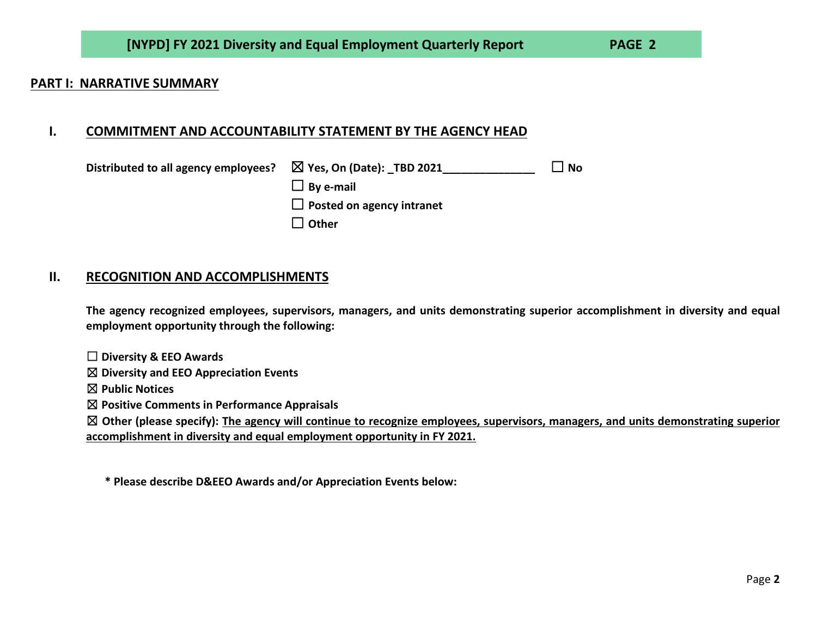### **PART I: NARRATIVE SUMMARY**

### **I. COMMITMENT AND ACCOUNTABILITY STATEMENT BY THE AGENCY HEAD**

| Distributed to all agency employees? | $\boxtimes$ Yes, On (Date): TBD 2021 | $\overline{\phantom{a}}$ No |
|--------------------------------------|--------------------------------------|-----------------------------|
|                                      | $\Box$ By e-mail                     |                             |
|                                      | $\Box$ Posted on agency intranet     |                             |
|                                      | $\Box$ Other                         |                             |

### **II. RECOGNITION AND ACCOMPLISHMENTS**

**The agency recognized employees, supervisors, managers, and units demonstrating superior accomplishment in diversity and equal employment opportunity through the following:**

☐ **Diversity & EEO Awards**

☒ **Diversity and EEO Appreciation Events**

☒ **Public Notices**

☒ **Positive Comments in Performance Appraisals**

☒ **Other (please specify): The agency will continue to recognize employees, supervisors, managers, and units demonstrating superior accomplishment in diversity and equal employment opportunity in FY 2021.**

**\* Please describe D&EEO Awards and/or Appreciation Events below:**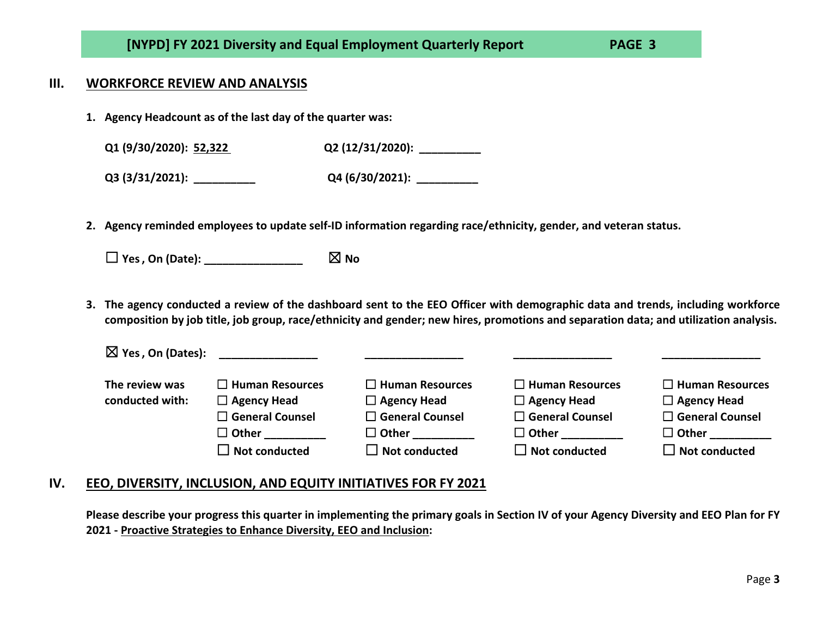### **III. WORKFORCE REVIEW AND ANALYSIS**

**1. Agency Headcount as of the last day of the quarter was:**

**Q1 (9/30/2020): 52,322 Q2 (12/31/2020): \_\_\_\_\_\_\_\_\_\_**

**Q3 (3/31/2021): \_\_\_\_\_\_\_\_\_\_ Q4 (6/30/2021): \_\_\_\_\_\_\_\_\_\_**

**2. Agency reminded employees to update self-ID information regarding race/ethnicity, gender, and veteran status.**

 $\Box$  Yes, On (Date):  $\Box$  **No** 

**3. The agency conducted a review of the dashboard sent to the EEO Officer with demographic data and trends, including workforce composition by job title, job group, race/ethnicity and gender; new hires, promotions and separation data; and utilization analysis.**

| $\boxtimes$ Yes, On (Dates): | <u> 1986 - Jan Barbarat, prima programa populari prima prima programa populari prima prima prima prima prima pri</u> |                        |                           |                        |
|------------------------------|----------------------------------------------------------------------------------------------------------------------|------------------------|---------------------------|------------------------|
| The review was               | $\Box$ Human Resources                                                                                               | $\Box$ Human Resources | $\Box$ Human Resources    | $\Box$ Human Resources |
| conducted with:              | $\Box$ Agency Head                                                                                                   | $\Box$ Agency Head     | $\Box$ Agency Head        | $\Box$ Agency Head     |
|                              | $\square$ General Counsel                                                                                            | $\Box$ General Counsel | $\square$ General Counsel | $\Box$ General Counsel |
|                              | $\Box$ Other                                                                                                         | $\Box$ Other           | $\Box$ Other              | $\Box$ Other           |
|                              | $\Box$ Not conducted                                                                                                 | $\Box$ Not conducted   | $\Box$ Not conducted      | $\Box$ Not conducted   |

### **IV. EEO, DIVERSITY, INCLUSION, AND EQUITY INITIATIVES FOR FY 2021**

**Please describe your progress this quarter in implementing the primary goals in Section IV of your Agency Diversity and EEO Plan for FY 2021 - Proactive Strategies to Enhance Diversity, EEO and Inclusion:**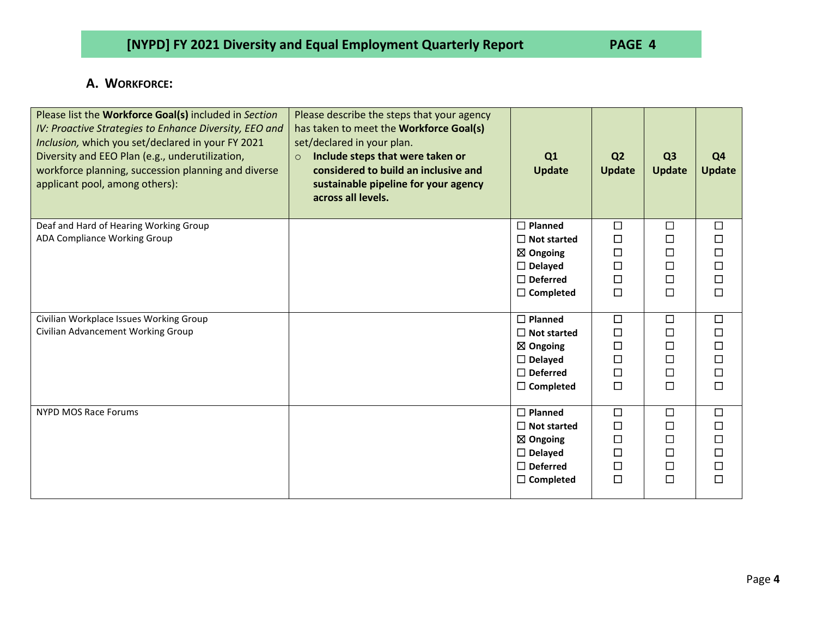## **A. WORKFORCE:**

| Please list the Workforce Goal(s) included in Section<br>IV: Proactive Strategies to Enhance Diversity, EEO and<br>Inclusion, which you set/declared in your FY 2021<br>Diversity and EEO Plan (e.g., underutilization,<br>workforce planning, succession planning and diverse<br>applicant pool, among others): | Please describe the steps that your agency<br>has taken to meet the Workforce Goal(s)<br>set/declared in your plan.<br>Include steps that were taken or<br>$\circ$<br>considered to build an inclusive and<br>sustainable pipeline for your agency<br>across all levels. | Q1<br><b>Update</b>                                                                                                  | Q <sub>2</sub><br><b>Update</b>                     | Q <sub>3</sub><br><b>Update</b>           | Q <sub>4</sub><br><b>Update</b>      |
|------------------------------------------------------------------------------------------------------------------------------------------------------------------------------------------------------------------------------------------------------------------------------------------------------------------|--------------------------------------------------------------------------------------------------------------------------------------------------------------------------------------------------------------------------------------------------------------------------|----------------------------------------------------------------------------------------------------------------------|-----------------------------------------------------|-------------------------------------------|--------------------------------------|
| Deaf and Hard of Hearing Working Group<br>ADA Compliance Working Group                                                                                                                                                                                                                                           |                                                                                                                                                                                                                                                                          | $\Box$ Planned<br>$\Box$ Not started<br>$\boxtimes$ Ongoing<br>$\Box$ Delayed<br>$\Box$ Deferred<br>$\Box$ Completed | $\Box$<br>П<br>$\Box$<br>П<br>$\Box$<br>$\Box$      | $\Box$<br>$\Box$<br>□<br>□<br>□<br>$\Box$ | $\Box$<br>П<br>п<br>П<br>□<br>$\Box$ |
| Civilian Workplace Issues Working Group<br>Civilian Advancement Working Group                                                                                                                                                                                                                                    |                                                                                                                                                                                                                                                                          | $\Box$ Planned<br>$\Box$ Not started<br>$\boxtimes$ Ongoing<br>$\Box$ Delayed<br>$\Box$ Deferred<br>$\Box$ Completed | □<br>П<br>$\Box$<br>П<br>$\Box$<br>$\Box$           | $\Box$<br>□<br>□<br>$\Box$<br>□<br>□      | □<br>П<br>□<br>П<br>П<br>$\Box$      |
| <b>NYPD MOS Race Forums</b>                                                                                                                                                                                                                                                                                      |                                                                                                                                                                                                                                                                          | $\Box$ Planned<br>$\Box$ Not started<br>$\boxtimes$ Ongoing<br>$\Box$ Delayed<br>$\Box$ Deferred<br>$\Box$ Completed | $\Box$<br>$\Box$<br>$\Box$<br>$\Box$<br>П<br>$\Box$ | $\Box$<br>□<br>□<br>$\Box$<br>□<br>$\Box$ | □<br>п<br>П<br>п<br>П<br>⊓           |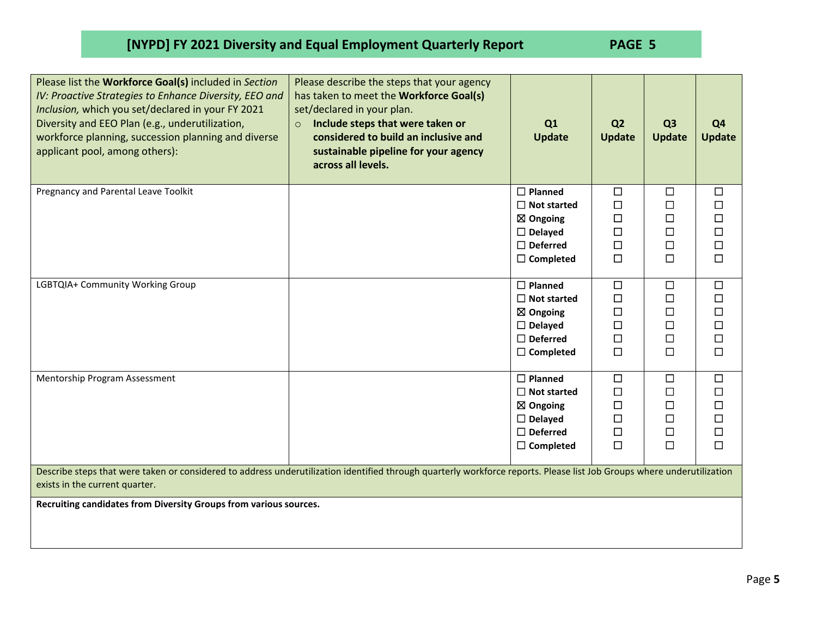| Please list the Workforce Goal(s) included in Section<br>IV: Proactive Strategies to Enhance Diversity, EEO and<br>Inclusion, which you set/declared in your FY 2021<br>Diversity and EEO Plan (e.g., underutilization,<br>workforce planning, succession planning and diverse<br>applicant pool, among others): | Please describe the steps that your agency<br>has taken to meet the Workforce Goal(s)<br>set/declared in your plan.<br>Include steps that were taken or<br>$\circ$<br>considered to build an inclusive and<br>sustainable pipeline for your agency<br>across all levels. | Q1<br><b>Update</b>                                                                                                     | Q <sub>2</sub><br><b>Update</b>                          | Q <sub>3</sub><br><b>Update</b>                          | Q <sub>4</sub><br><b>Update</b>                          |  |
|------------------------------------------------------------------------------------------------------------------------------------------------------------------------------------------------------------------------------------------------------------------------------------------------------------------|--------------------------------------------------------------------------------------------------------------------------------------------------------------------------------------------------------------------------------------------------------------------------|-------------------------------------------------------------------------------------------------------------------------|----------------------------------------------------------|----------------------------------------------------------|----------------------------------------------------------|--|
| Pregnancy and Parental Leave Toolkit                                                                                                                                                                                                                                                                             |                                                                                                                                                                                                                                                                          | $\Box$ Planned<br>$\Box$ Not started<br>$\boxtimes$ Ongoing<br>$\Box$ Delayed<br>$\Box$ Deferred<br>$\Box$ Completed    | $\Box$<br>$\Box$<br>$\Box$<br>$\Box$<br>$\Box$<br>$\Box$ | $\Box$<br>$\Box$<br>$\Box$<br>$\Box$<br>$\Box$<br>$\Box$ | $\Box$<br>$\Box$<br>$\Box$<br>$\Box$<br>$\Box$<br>$\Box$ |  |
| LGBTQIA+ Community Working Group                                                                                                                                                                                                                                                                                 |                                                                                                                                                                                                                                                                          | $\Box$ Planned<br>$\Box$ Not started<br>$\boxtimes$ Ongoing<br>$\square$ Delayed<br>$\Box$ Deferred<br>$\Box$ Completed | $\Box$<br>$\Box$<br>$\Box$<br>$\Box$<br>□<br>$\Box$      | $\Box$<br>$\Box$<br>$\Box$<br>$\Box$<br>$\Box$<br>□      | $\Box$<br>$\Box$<br>$\Box$<br>$\Box$<br>$\Box$<br>$\Box$ |  |
| Mentorship Program Assessment                                                                                                                                                                                                                                                                                    |                                                                                                                                                                                                                                                                          | $\Box$ Planned<br>$\Box$ Not started<br>$\boxtimes$ Ongoing<br>$\Box$ Delayed<br>$\Box$ Deferred<br>$\Box$ Completed    | $\Box$<br>$\Box$<br>□<br>$\Box$<br>$\Box$<br>$\Box$      | $\Box$<br>$\Box$<br>$\Box$<br>$\Box$<br>$\Box$<br>$\Box$ | $\Box$<br>$\Box$<br>$\Box$<br>$\Box$<br>$\Box$<br>$\Box$ |  |
| Describe steps that were taken or considered to address underutilization identified through quarterly workforce reports. Please list Job Groups where underutilization<br>exists in the current quarter.                                                                                                         |                                                                                                                                                                                                                                                                          |                                                                                                                         |                                                          |                                                          |                                                          |  |
| Recruiting candidates from Diversity Groups from various sources.                                                                                                                                                                                                                                                |                                                                                                                                                                                                                                                                          |                                                                                                                         |                                                          |                                                          |                                                          |  |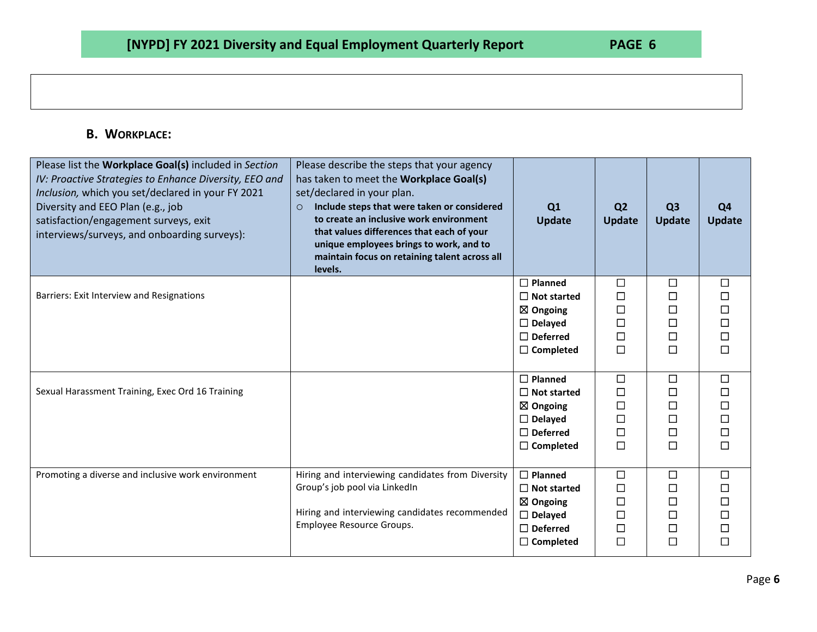## **B. WORKPLACE:**

| Please list the Workplace Goal(s) included in Section<br>IV: Proactive Strategies to Enhance Diversity, EEO and<br>Inclusion, which you set/declared in your FY 2021<br>Diversity and EEO Plan (e.g., job<br>satisfaction/engagement surveys, exit<br>interviews/surveys, and onboarding surveys): | Please describe the steps that your agency<br>has taken to meet the Workplace Goal(s)<br>set/declared in your plan.<br>Include steps that were taken or considered<br>$\circ$<br>to create an inclusive work environment<br>that values differences that each of your<br>unique employees brings to work, and to<br>maintain focus on retaining talent across all<br>levels. | Q1<br><b>Update</b>                                                                                                  | Q <sub>2</sub><br><b>Update</b>                     | Q <sub>3</sub><br><b>Update</b>                          | Q <sub>4</sub><br><b>Update</b>                                                                                          |
|----------------------------------------------------------------------------------------------------------------------------------------------------------------------------------------------------------------------------------------------------------------------------------------------------|------------------------------------------------------------------------------------------------------------------------------------------------------------------------------------------------------------------------------------------------------------------------------------------------------------------------------------------------------------------------------|----------------------------------------------------------------------------------------------------------------------|-----------------------------------------------------|----------------------------------------------------------|--------------------------------------------------------------------------------------------------------------------------|
| Barriers: Exit Interview and Resignations                                                                                                                                                                                                                                                          |                                                                                                                                                                                                                                                                                                                                                                              | $\Box$ Planned<br>$\Box$ Not started<br>$\boxtimes$ Ongoing<br>$\Box$ Delayed<br>$\Box$ Deferred<br>$\Box$ Completed | □<br>$\Box$<br>$\Box$<br>□<br>□<br>□                | $\Box$<br>$\Box$<br>$\Box$<br>$\Box$<br>$\Box$<br>$\Box$ | $\Box$<br>$\Box$<br>$\Box$<br>$\Box$<br>$\Box$<br>$\Box$                                                                 |
| Sexual Harassment Training, Exec Ord 16 Training                                                                                                                                                                                                                                                   |                                                                                                                                                                                                                                                                                                                                                                              | $\Box$ Planned<br>$\Box$ Not started<br>$\boxtimes$ Ongoing<br>$\Box$ Delayed<br>$\Box$ Deferred<br>$\Box$ Completed | $\Box$<br>$\Box$<br>$\Box$<br>$\Box$<br>□<br>$\Box$ | $\Box$<br>□<br>$\Box$<br>$\Box$<br>$\Box$<br>$\Box$      | $\Box$<br>$\begin{array}{c}\n\square \\ \square\n\end{array}$<br>$\begin{array}{c}\n\Box \\ \Box\n\end{array}$<br>$\Box$ |
| Promoting a diverse and inclusive work environment                                                                                                                                                                                                                                                 | Hiring and interviewing candidates from Diversity<br>Group's job pool via LinkedIn<br>Hiring and interviewing candidates recommended<br>Employee Resource Groups.                                                                                                                                                                                                            | $\Box$ Planned<br>$\Box$ Not started<br>$\boxtimes$ Ongoing<br>$\Box$ Delayed<br>$\Box$ Deferred<br>$\Box$ Completed | □<br>$\Box$<br>$\Box$<br>$\Box$<br>$\Box$<br>$\Box$ | $\Box$<br>□<br>$\Box$<br>$\Box$<br>$\Box$<br>$\Box$      | $\Box$<br>$\Box$<br>$\Box$<br>$\begin{array}{c}\n\Box \\ \Box\n\end{array}$<br>$\Box$                                    |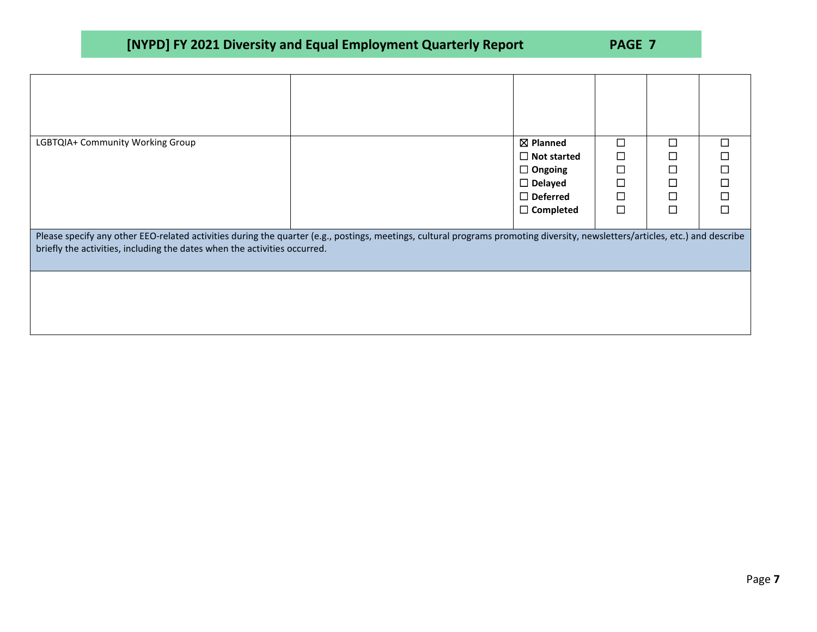| LGBTQIA+ Community Working Group                                                                                                                                                                                                                           |  | ⊠ Planned          | П      | П      | $\mathcal{L}_{\mathcal{A}}$ |  |  |  |
|------------------------------------------------------------------------------------------------------------------------------------------------------------------------------------------------------------------------------------------------------------|--|--------------------|--------|--------|-----------------------------|--|--|--|
|                                                                                                                                                                                                                                                            |  | $\Box$ Not started | □      | l,     | $\Box$                      |  |  |  |
|                                                                                                                                                                                                                                                            |  | $\Box$ Ongoing     | $\Box$ | $\Box$ | $\Box$                      |  |  |  |
|                                                                                                                                                                                                                                                            |  | $\Box$ Delayed     | $\Box$ | $\Box$ | $\Box$                      |  |  |  |
|                                                                                                                                                                                                                                                            |  | $\Box$ Deferred    | □      | П      | $\Box$                      |  |  |  |
|                                                                                                                                                                                                                                                            |  | $\Box$ Completed   | □      | П      | П                           |  |  |  |
| Please specify any other EEO-related activities during the quarter (e.g., postings, meetings, cultural programs promoting diversity, newsletters/articles, etc.) and describe<br>briefly the activities, including the dates when the activities occurred. |  |                    |        |        |                             |  |  |  |
|                                                                                                                                                                                                                                                            |  |                    |        |        |                             |  |  |  |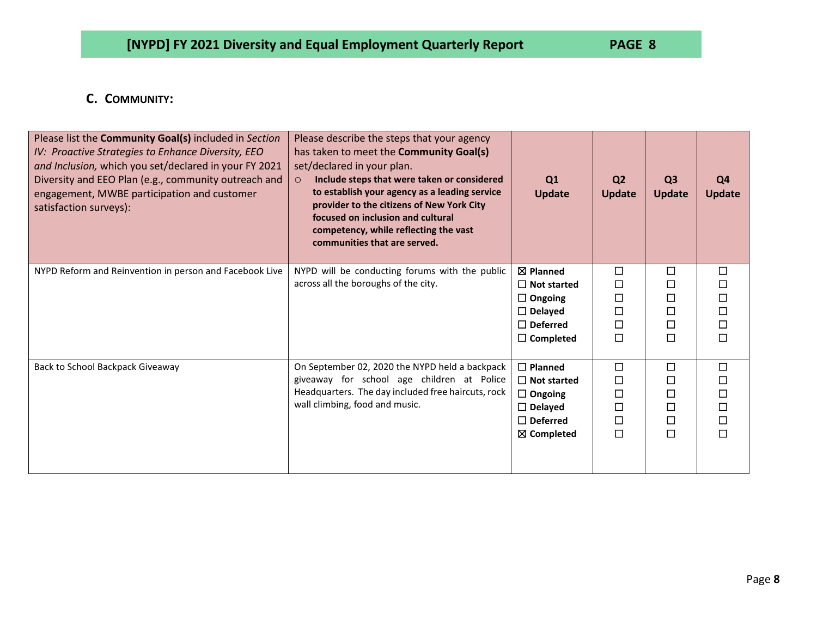## **C. COMMUNITY:**

| Please list the Community Goal(s) included in Section<br>IV: Proactive Strategies to Enhance Diversity, EEO<br>and Inclusion, which you set/declared in your FY 2021<br>Diversity and EEO Plan (e.g., community outreach and<br>engagement, MWBE participation and customer<br>satisfaction surveys): | Please describe the steps that your agency<br>has taken to meet the <b>Community Goal(s)</b><br>set/declared in your plan.<br>Include steps that were taken or considered<br>$\circ$<br>to establish your agency as a leading service<br>provider to the citizens of New York City<br>focused on inclusion and cultural<br>competency, while reflecting the vast<br>communities that are served. | Q1<br><b>Update</b>                                                                                                  | Q <sub>2</sub><br><b>Update</b>           | Q <sub>3</sub><br><b>Update</b>           | Q4<br><b>Update</b>                                      |
|-------------------------------------------------------------------------------------------------------------------------------------------------------------------------------------------------------------------------------------------------------------------------------------------------------|--------------------------------------------------------------------------------------------------------------------------------------------------------------------------------------------------------------------------------------------------------------------------------------------------------------------------------------------------------------------------------------------------|----------------------------------------------------------------------------------------------------------------------|-------------------------------------------|-------------------------------------------|----------------------------------------------------------|
| NYPD Reform and Reinvention in person and Facebook Live                                                                                                                                                                                                                                               | NYPD will be conducting forums with the public<br>across all the boroughs of the city.                                                                                                                                                                                                                                                                                                           | $\boxtimes$ Planned<br>$\Box$ Not started<br>$\Box$ Ongoing<br>$\Box$ Delayed<br>$\Box$ Deferred<br>$\Box$ Completed | □<br>□<br>□<br>口<br>$\Box$<br>□           | □<br>$\Box$<br>□<br>□<br>□<br>□           | □<br>□<br>$\Box$<br>$\Box$<br>$\Box$<br>$\Box$           |
| Back to School Backpack Giveaway                                                                                                                                                                                                                                                                      | On September 02, 2020 the NYPD held a backpack<br>giveaway for school age children at Police<br>Headquarters. The day included free haircuts, rock<br>wall climbing, food and music.                                                                                                                                                                                                             | $\Box$ Planned<br>$\Box$ Not started<br>$\Box$ Ongoing<br>$\Box$ Delayed<br>$\Box$ Deferred<br>$\boxtimes$ Completed | $\Box$<br>□<br>□<br>$\Box$<br>□<br>$\Box$ | □<br>$\Box$<br>□<br>$\Box$<br>$\Box$<br>□ | $\Box$<br>$\Box$<br>$\Box$<br>$\Box$<br>$\Box$<br>$\Box$ |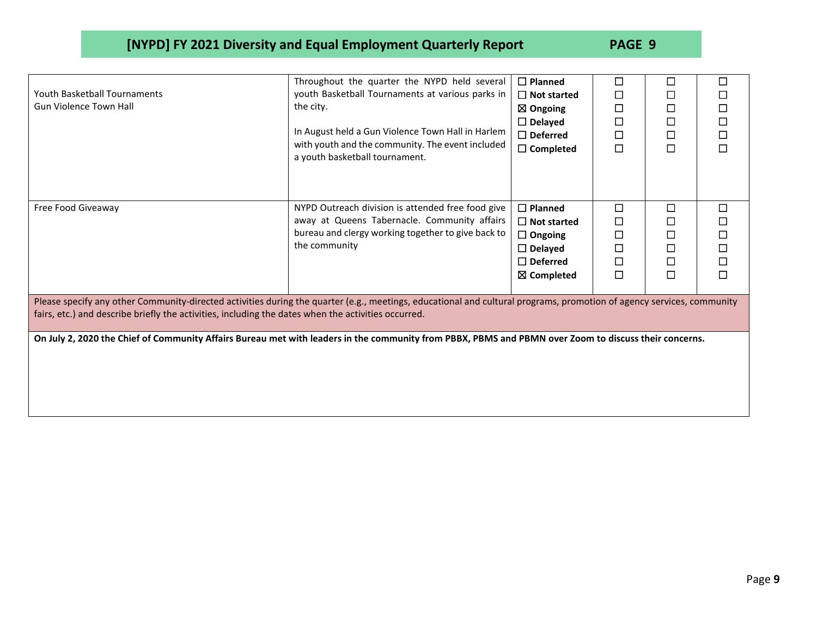|                                                                                                                                                                       | Throughout the quarter the NYPD held several                                       | $\Box$ Planned      | □      | □      | □      |
|-----------------------------------------------------------------------------------------------------------------------------------------------------------------------|------------------------------------------------------------------------------------|---------------------|--------|--------|--------|
| <b>Youth Basketball Tournaments</b>                                                                                                                                   | youth Basketball Tournaments at various parks in                                   | $\Box$ Not started  | □      | □      | □      |
| <b>Gun Violence Town Hall</b>                                                                                                                                         | the city.                                                                          | $\boxtimes$ Ongoing | □      | □      | $\Box$ |
|                                                                                                                                                                       |                                                                                    | $\Box$ Delayed      | □      | $\Box$ | $\Box$ |
|                                                                                                                                                                       | In August held a Gun Violence Town Hall in Harlem                                  | $\Box$ Deferred     | □      | $\Box$ | $\Box$ |
|                                                                                                                                                                       | with youth and the community. The event included<br>a youth basketball tournament. | $\Box$ Completed    | □      | $\Box$ | $\Box$ |
|                                                                                                                                                                       |                                                                                    |                     |        |        |        |
| Free Food Giveaway                                                                                                                                                    | NYPD Outreach division is attended free food give                                  | $\Box$ Planned      | $\Box$ | П      | $\Box$ |
|                                                                                                                                                                       | away at Queens Tabernacle. Community affairs                                       | $\Box$ Not started  | ◻      | П      | $\Box$ |
|                                                                                                                                                                       | bureau and clergy working together to give back to                                 | $\Box$ Ongoing      | □      | $\Box$ | $\Box$ |
|                                                                                                                                                                       | the community                                                                      | $\Box$ Delayed      | $\Box$ | □      | $\Box$ |
|                                                                                                                                                                       |                                                                                    | $\Box$ Deferred     | □      | □      | $\Box$ |
|                                                                                                                                                                       |                                                                                    | ⊠ Completed         | $\Box$ | $\Box$ | $\Box$ |
|                                                                                                                                                                       |                                                                                    |                     |        |        |        |
| Please specify any other Community-directed activities during the quarter (e.g., meetings, educational and cultural programs, promotion of agency services, community |                                                                                    |                     |        |        |        |
| fairs, etc.) and describe briefly the activities, including the dates when the activities occurred.                                                                   |                                                                                    |                     |        |        |        |
|                                                                                                                                                                       |                                                                                    |                     |        |        |        |
| On July 2, 2020 the Chief of Community Affairs Bureau met with leaders in the community from PBBX, PBMS and PBMN over Zoom to discuss their concerns.                 |                                                                                    |                     |        |        |        |
|                                                                                                                                                                       |                                                                                    |                     |        |        |        |
|                                                                                                                                                                       |                                                                                    |                     |        |        |        |
|                                                                                                                                                                       |                                                                                    |                     |        |        |        |
|                                                                                                                                                                       |                                                                                    |                     |        |        |        |
|                                                                                                                                                                       |                                                                                    |                     |        |        |        |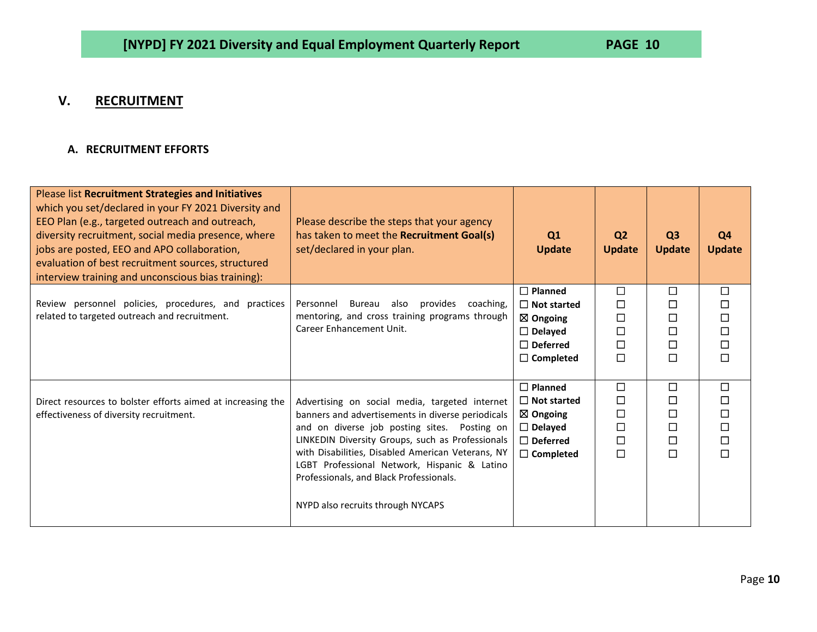## **V. RECRUITMENT**

## **A. RECRUITMENT EFFORTS**

| Please list Recruitment Strategies and Initiatives<br>which you set/declared in your FY 2021 Diversity and<br>EEO Plan (e.g., targeted outreach and outreach,<br>diversity recruitment, social media presence, where<br>jobs are posted, EEO and APO collaboration,<br>evaluation of best recruitment sources, structured<br>interview training and unconscious bias training): | Please describe the steps that your agency<br>has taken to meet the Recruitment Goal(s)<br>set/declared in your plan.                                                                                                                                                                                                                                                                        | Q1<br><b>Update</b>                                                                                                  | Q <sub>2</sub><br><b>Update</b>                     | Q <sub>3</sub><br><b>Update</b>                     | Q4<br><b>Update</b>                                      |
|---------------------------------------------------------------------------------------------------------------------------------------------------------------------------------------------------------------------------------------------------------------------------------------------------------------------------------------------------------------------------------|----------------------------------------------------------------------------------------------------------------------------------------------------------------------------------------------------------------------------------------------------------------------------------------------------------------------------------------------------------------------------------------------|----------------------------------------------------------------------------------------------------------------------|-----------------------------------------------------|-----------------------------------------------------|----------------------------------------------------------|
| Review personnel policies, procedures, and practices<br>related to targeted outreach and recruitment.                                                                                                                                                                                                                                                                           | provides<br>Bureau<br>also<br>coaching,<br>Personnel<br>mentoring, and cross training programs through<br>Career Enhancement Unit.                                                                                                                                                                                                                                                           | $\Box$ Planned<br>$\Box$ Not started<br>$\boxtimes$ Ongoing<br>$\Box$ Delayed<br>$\Box$ Deferred<br>$\Box$ Completed | $\Box$<br>$\Box$<br>$\Box$<br>□<br>$\Box$<br>$\Box$ | $\Box$<br>□<br>□<br>$\Box$<br>$\Box$<br>$\Box$      | $\Box$<br>$\Box$<br>$\Box$<br>$\Box$<br>$\Box$<br>$\Box$ |
| Direct resources to bolster efforts aimed at increasing the<br>effectiveness of diversity recruitment.                                                                                                                                                                                                                                                                          | Advertising on social media, targeted internet<br>banners and advertisements in diverse periodicals<br>and on diverse job posting sites. Posting on<br>LINKEDIN Diversity Groups, such as Professionals<br>with Disabilities, Disabled American Veterans, NY<br>LGBT Professional Network, Hispanic & Latino<br>Professionals, and Black Professionals.<br>NYPD also recruits through NYCAPS | $\Box$ Planned<br>$\Box$ Not started<br>$\boxtimes$ Ongoing<br>$\Box$ Delayed<br>$\Box$ Deferred<br>$\Box$ Completed | $\Box$<br>$\Box$<br>$\Box$<br>$\Box$<br>$\Box$<br>П | $\Box$<br>□<br>$\Box$<br>$\Box$<br>$\Box$<br>$\Box$ | $\Box$<br>$\Box$<br>$\Box$<br>$\Box$<br>$\Box$<br>$\Box$ |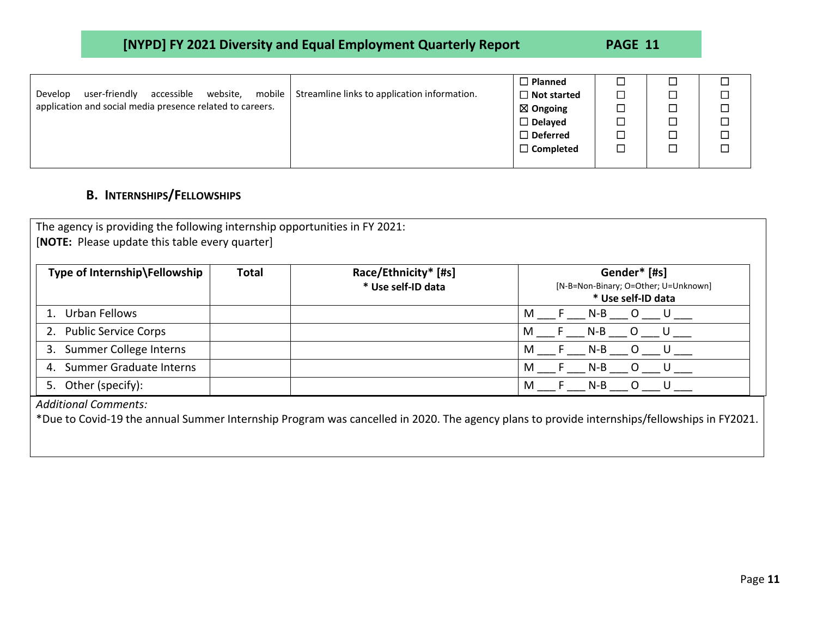| [NYPD] FY 2021 Diversity and Equal Employment Quarterly Report | PAGE 11 |
|----------------------------------------------------------------|---------|
|----------------------------------------------------------------|---------|

|                                                                |                                              | $\Box$ Planned      |  |  |
|----------------------------------------------------------------|----------------------------------------------|---------------------|--|--|
| mobile  <br>accessible<br>website,<br>user-friendly<br>Develop | Streamline links to application information. | $\Box$ Not started  |  |  |
| application and social media presence related to careers.      |                                              | $\boxtimes$ Ongoing |  |  |
|                                                                |                                              | $\Box$ Delayed      |  |  |
|                                                                |                                              | $\Box$ Deferred     |  |  |
|                                                                |                                              | $\Box$ Completed    |  |  |
|                                                                |                                              |                     |  |  |

## **B. INTERNSHIPS/FELLOWSHIPS**

| Gender* [#s]<br>[N-B=Non-Binary; O=Other; U=Unknown]<br>* Use self-ID data |
|----------------------------------------------------------------------------|
| F N-B O U                                                                  |
| N-B O U                                                                    |
| N-B O U                                                                    |
| F N-B O U                                                                  |
| F N-B O U                                                                  |
|                                                                            |

\*Due to Covid-19 the annual Summer Internship Program was cancelled in 2020. The agency plans to provide internships/fellowships in FY2021.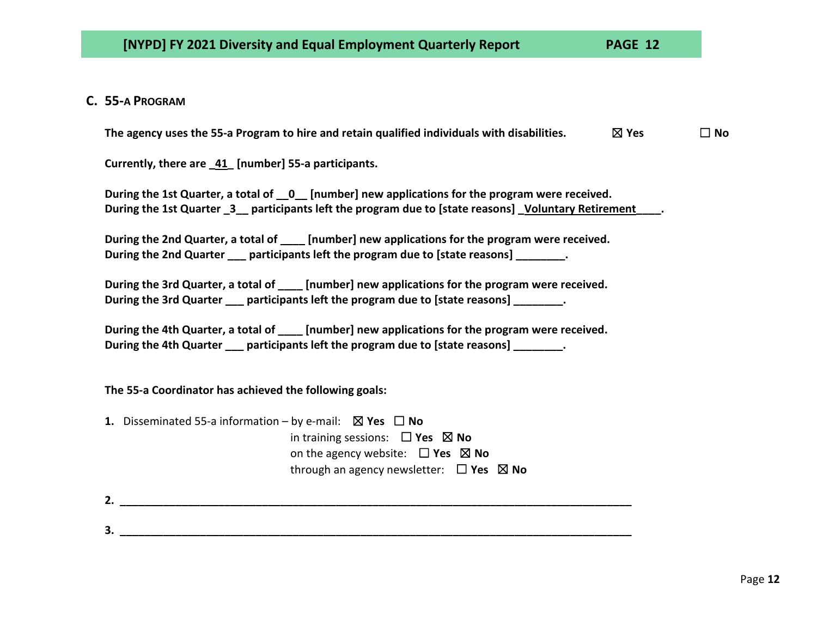## **C. 55-A PROGRAM**

**The agency uses the 55-a Program to hire and retain qualified individuals with disabilities.** ☒ **Yes** ☐ **No**

**Currently, there are \_41\_ [number] 55-a participants.**

| During the 1st Quarter, a total of 0 [number] new applications for the program were received.      |  |
|----------------------------------------------------------------------------------------------------|--|
| During the 1st Quarter 3 harticipants left the program due to [state reasons] Voluntary Retirement |  |

**During the 2nd Quarter, a total of \_\_\_\_ [number] new applications for the program were received. During the 2nd Quarter \_\_\_ participants left the program due to [state reasons] \_\_\_\_\_\_\_\_.**

**During the 3rd Quarter, a total of \_\_\_\_ [number] new applications for the program were received. During the 3rd Quarter participants left the program due to [state reasons]**  $\cdot$ **.** 

| During the 4th Quarter, a total of |                                                      | [number] new applications for the program were received. |
|------------------------------------|------------------------------------------------------|----------------------------------------------------------|
| During the 4th Quarter             | participants left the program due to [state reasons] |                                                          |

**The 55-a Coordinator has achieved the following goals:**

- **1.** Disseminated 55-a information by e-mail: ☒ **Yes** ☐ **No** in training sessions: ☐ **Yes** ☒ **No** on the agency website: ☐ **Yes** ☒ **No** through an agency newsletter: ☐ **Yes** ☒ **No**
- **2.** *a a* **<b>***a a* **<b>***a a a a a a a a a a a a a a a a a a a a a a a a a a a*

**3. \_\_\_\_\_\_\_\_\_\_\_\_\_\_\_\_\_\_\_\_\_\_\_\_\_\_\_\_\_\_\_\_\_\_\_\_\_\_\_\_\_\_\_\_\_\_\_\_\_\_\_\_\_\_\_\_\_\_\_\_\_\_\_\_\_\_\_\_\_\_\_\_\_\_\_\_\_\_\_\_\_\_\_**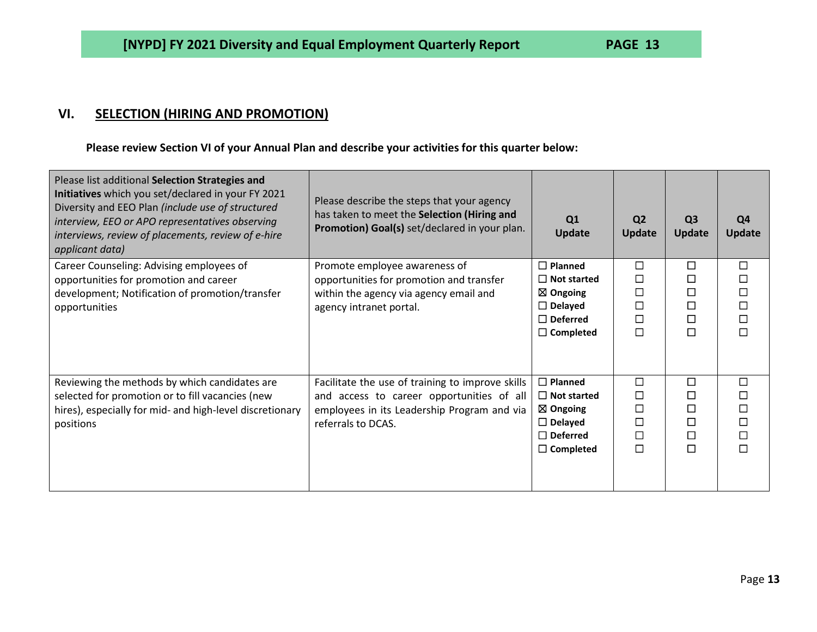## **VI. SELECTION (HIRING AND PROMOTION)**

**Please review Section VI of your Annual Plan and describe your activities for this quarter below:**

| Please list additional Selection Strategies and<br>Initiatives which you set/declared in your FY 2021<br>Diversity and EEO Plan (include use of structured<br>interview, EEO or APO representatives observing<br>interviews, review of placements, review of e-hire<br>applicant data) | Please describe the steps that your agency<br>has taken to meet the Selection (Hiring and<br>Promotion) Goal(s) set/declared in your plan.                         | Q1<br><b>Update</b>                                                                                                  | Q <sub>2</sub><br><b>Update</b>                     | Q <sub>3</sub><br><b>Update</b> | Q4<br><b>Update</b>                                      |
|----------------------------------------------------------------------------------------------------------------------------------------------------------------------------------------------------------------------------------------------------------------------------------------|--------------------------------------------------------------------------------------------------------------------------------------------------------------------|----------------------------------------------------------------------------------------------------------------------|-----------------------------------------------------|---------------------------------|----------------------------------------------------------|
| Career Counseling: Advising employees of                                                                                                                                                                                                                                               | Promote employee awareness of                                                                                                                                      | $\Box$ Planned                                                                                                       | $\Box$                                              | □                               | $\Box$                                                   |
| opportunities for promotion and career                                                                                                                                                                                                                                                 | opportunities for promotion and transfer                                                                                                                           | $\Box$ Not started<br>$\boxtimes$ Ongoing                                                                            | □<br>□                                              | □                               | $\Box$<br>$\Box$                                         |
| development; Notification of promotion/transfer<br>opportunities                                                                                                                                                                                                                       | within the agency via agency email and<br>agency intranet portal.                                                                                                  | $\Box$ Delayed                                                                                                       | $\Box$                                              | □                               | $\Box$                                                   |
|                                                                                                                                                                                                                                                                                        |                                                                                                                                                                    | $\Box$ Deferred                                                                                                      | $\Box$                                              | □                               | $\Box$                                                   |
|                                                                                                                                                                                                                                                                                        |                                                                                                                                                                    | $\Box$ Completed                                                                                                     | $\Box$                                              | $\Box$                          | $\Box$                                                   |
| Reviewing the methods by which candidates are<br>selected for promotion or to fill vacancies (new<br>hires), especially for mid- and high-level discretionary<br>positions                                                                                                             | Facilitate the use of training to improve skills<br>and access to career opportunities of all<br>employees in its Leadership Program and via<br>referrals to DCAS. | $\Box$ Planned<br>$\Box$ Not started<br>$\boxtimes$ Ongoing<br>$\Box$ Delayed<br>$\Box$ Deferred<br>$\Box$ Completed | $\Box$<br>$\Box$<br>□<br>$\Box$<br>$\Box$<br>$\Box$ | П<br>$\Box$<br>$\Box$<br>□<br>П | $\Box$<br>$\Box$<br>$\Box$<br>$\Box$<br>$\Box$<br>$\Box$ |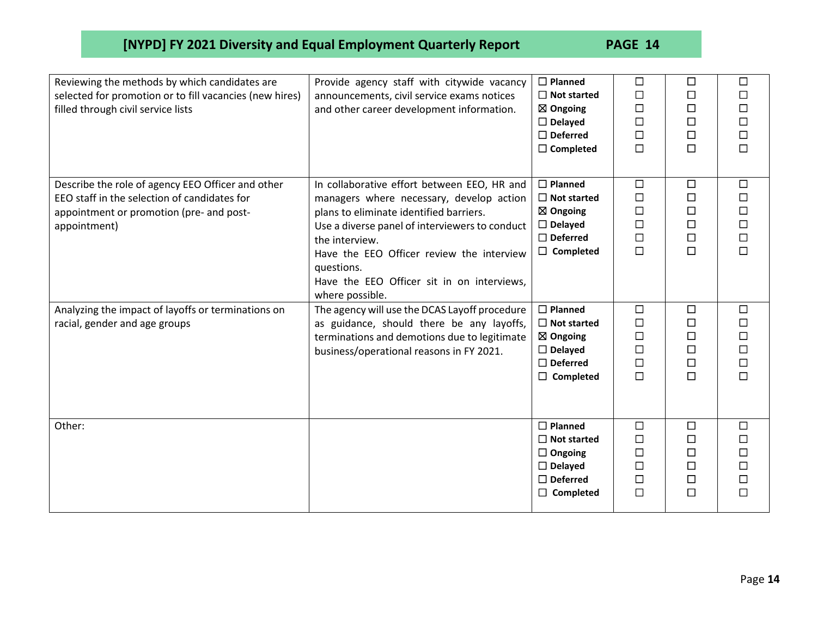| Reviewing the methods by which candidates are<br>selected for promotion or to fill vacancies (new hires)<br>filled through civil service lists                | Provide agency staff with citywide vacancy<br>announcements, civil service exams notices<br>and other career development information.                                                                                                                                                                                              | $\Box$ Planned<br>$\Box$ Not started<br>$\boxtimes$ Ongoing<br>$\Box$ Delayed<br>$\Box$ Deferred<br>$\Box$ Completed    | $\Box$<br>$\Box$<br>$\Box$<br>$\Box$<br>$\Box$<br>$\Box$ | $\Box$<br>□<br>□<br>□<br>□<br>$\Box$           | $\Box$<br>$\Box$<br>$\Box$<br>$\Box$<br>$\Box$<br>$\Box$ |
|---------------------------------------------------------------------------------------------------------------------------------------------------------------|------------------------------------------------------------------------------------------------------------------------------------------------------------------------------------------------------------------------------------------------------------------------------------------------------------------------------------|-------------------------------------------------------------------------------------------------------------------------|----------------------------------------------------------|------------------------------------------------|----------------------------------------------------------|
| Describe the role of agency EEO Officer and other<br>EEO staff in the selection of candidates for<br>appointment or promotion (pre- and post-<br>appointment) | In collaborative effort between EEO, HR and<br>managers where necessary, develop action<br>plans to eliminate identified barriers.<br>Use a diverse panel of interviewers to conduct<br>the interview.<br>Have the EEO Officer review the interview<br>questions.<br>Have the EEO Officer sit in on interviews,<br>where possible. | $\Box$ Planned<br>$\Box$ Not started<br>$\boxtimes$ Ongoing<br>$\Box$ Delayed<br>$\Box$ Deferred<br>$\Box$ Completed    | $\Box$<br>□<br>$\Box$<br>$\Box$<br>$\Box$<br>$\Box$      | $\Box$<br>□<br>□<br>$\Box$<br>$\Box$<br>$\Box$ | $\Box$<br>$\Box$<br>$\Box$<br>$\Box$<br>$\Box$<br>$\Box$ |
| Analyzing the impact of layoffs or terminations on<br>racial, gender and age groups                                                                           | The agency will use the DCAS Layoff procedure<br>as guidance, should there be any layoffs,<br>terminations and demotions due to legitimate<br>business/operational reasons in FY 2021.                                                                                                                                             | $\square$ Planned<br>$\Box$ Not started<br>$\boxtimes$ Ongoing<br>$\Box$ Delayed<br>$\Box$ Deferred<br>$\Box$ Completed | $\Box$<br>$\Box$<br>$\Box$<br>□<br>$\Box$<br>$\Box$      | $\Box$<br>□<br>□<br>□<br>$\Box$<br>$\Box$      | $\Box$<br>$\Box$<br>$\Box$<br>$\Box$<br>$\Box$<br>$\Box$ |
| Other:                                                                                                                                                        |                                                                                                                                                                                                                                                                                                                                    | $\Box$ Planned<br>$\Box$ Not started<br>$\Box$ Ongoing<br>$\Box$ Delayed<br>$\Box$ Deferred<br>$\Box$ Completed         | $\Box$<br>$\Box$<br>$\Box$<br>$\Box$<br>$\Box$<br>$\Box$ | $\Box$<br>□<br>$\Box$<br>□<br>$\Box$<br>$\Box$ | $\Box$<br>$\Box$<br>$\Box$<br>$\Box$<br>$\Box$<br>$\Box$ |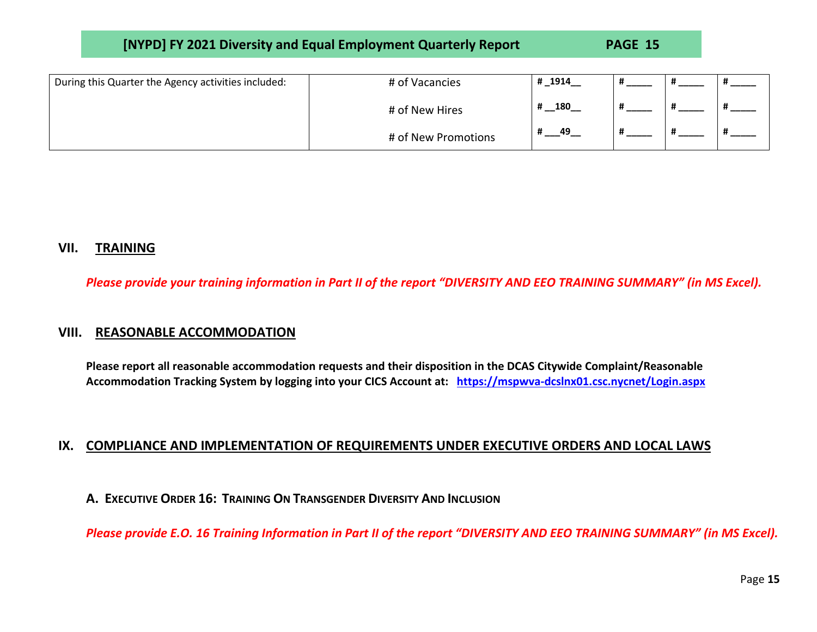| [NYPD] FY 2021 Diversity and Equal Employment Quarterly Report | <b>PAGE 15</b> |
|----------------------------------------------------------------|----------------|
|----------------------------------------------------------------|----------------|

| During this Quarter the Agency activities included: | # of Vacancies      | # 1914   |  |  |
|-----------------------------------------------------|---------------------|----------|--|--|
|                                                     | # of New Hires      | 180<br># |  |  |
|                                                     | # of New Promotions | 49<br>#  |  |  |

## **VII. TRAINING**

*Please provide your training information in Part II of the report "DIVERSITY AND EEO TRAINING SUMMARY" (in MS Excel).*

### **VIII. REASONABLE ACCOMMODATION**

**Please report all reasonable accommodation requests and their disposition in the DCAS Citywide Complaint/Reasonable Accommodation Tracking System by logging into your CICS Account at: <https://mspwva-dcslnx01.csc.nycnet/Login.aspx>**

### **IX. COMPLIANCE AND IMPLEMENTATION OF REQUIREMENTS UNDER EXECUTIVE ORDERS AND LOCAL LAWS**

**A. EXECUTIVE ORDER 16: TRAINING ON TRANSGENDER DIVERSITY AND INCLUSION**

*Please provide E.O. 16 Training Information in Part II of the report "DIVERSITY AND EEO TRAINING SUMMARY" (in MS Excel).*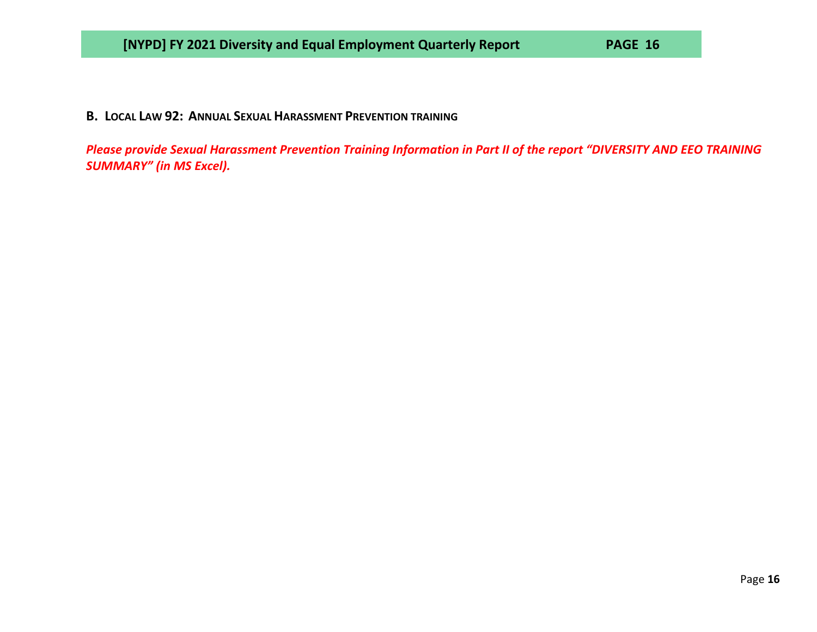## **B. LOCAL LAW 92: ANNUAL SEXUAL HARASSMENT PREVENTION TRAINING**

*Please provide Sexual Harassment Prevention Training Information in Part II of the report "DIVERSITY AND EEO TRAINING SUMMARY" (in MS Excel).*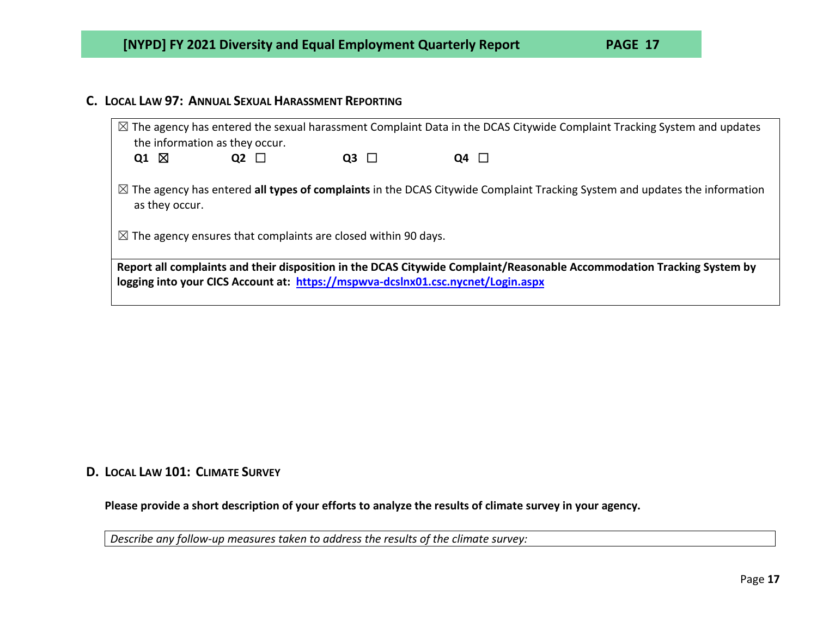## **C. LOCAL LAW 97: ANNUAL SEXUAL HARASSMENT REPORTING**

|                                                                                                                                                                                                            | the information as they occur. |           |           | $\boxtimes$ The agency has entered the sexual harassment Complaint Data in the DCAS Citywide Complaint Tracking System and updates    |  |  |
|------------------------------------------------------------------------------------------------------------------------------------------------------------------------------------------------------------|--------------------------------|-----------|-----------|---------------------------------------------------------------------------------------------------------------------------------------|--|--|
| Q1 $\boxtimes$                                                                                                                                                                                             | Q2 $\Box$                      | Q3 $\Box$ | Q4 $\Box$ |                                                                                                                                       |  |  |
| as they occur.                                                                                                                                                                                             |                                |           |           | $\boxtimes$ The agency has entered all types of complaints in the DCAS Citywide Complaint Tracking System and updates the information |  |  |
| $\boxtimes$ The agency ensures that complaints are closed within 90 days.                                                                                                                                  |                                |           |           |                                                                                                                                       |  |  |
| Report all complaints and their disposition in the DCAS Citywide Complaint/Reasonable Accommodation Tracking System by<br>logging into your CICS Account at: https://mspwya-dcslnx01.csc.nycnet/Login.aspx |                                |           |           |                                                                                                                                       |  |  |

## **D. LOCAL LAW 101: CLIMATE SURVEY**

**Please provide a short description of your efforts to analyze the results of climate survey in your agency.**

*Describe any follow-up measures taken to address the results of the climate survey:*